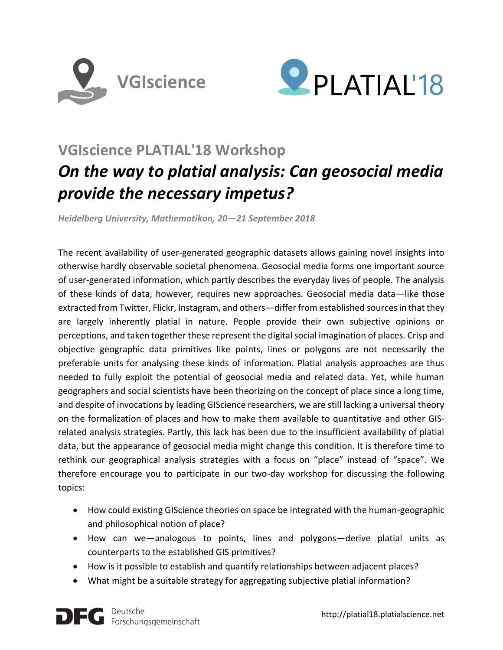



## **VGIscience PLATIAL'18 Workshop**

# *On the way to platial analysis: Can geosocial media provide the necessary impetus?*

*Heidelberg University, Mathematikon, 20—21 September 2018*

The recent availability of user-generated geographic datasets allows gaining novel insights into otherwise hardly observable societal phenomena. Geosocial media forms one important source of user-generated information, which partly describes the everyday lives of people. The analysis of these kinds of data, however, requires new approaches. Geosocial media data—like those extracted from Twitter, Flickr, Instagram, and others—differ from established sources in that they are largely inherently platial in nature. People provide their own subjective opinions or perceptions, and taken together these represent the digital social imagination of places. Crisp and objective geographic data primitives like points, lines or polygons are not necessarily the preferable units for analysing these kinds of information. Platial analysis approaches are thus needed to fully exploit the potential of geosocial media and related data. Yet, while human geographers and social scientists have been theorizing on the concept of place since a long time, and despite of invocations by leading GIScience researchers, we are still lacking a universal theory on the formalization of places and how to make them available to quantitative and other GISrelated analysis strategies. Partly, this lack has been due to the insufficient availability of platial data, but the appearance of geosocial media might change this condition. It is therefore time to rethink our geographical analysis strategies with a focus on "place" instead of "space". We therefore encourage you to participate in our two-day workshop for discussing the following topics:

- How could existing GIScience theories on space be integrated with the human-geographic and philosophical notion of place?
- How can we—analogous to points, lines and polygons—derive platial units as counterparts to the established GIS primitives?
- How is it possible to establish and quantify relationships between adjacent places?
- What might be a suitable strategy for aggregating subjective platial information?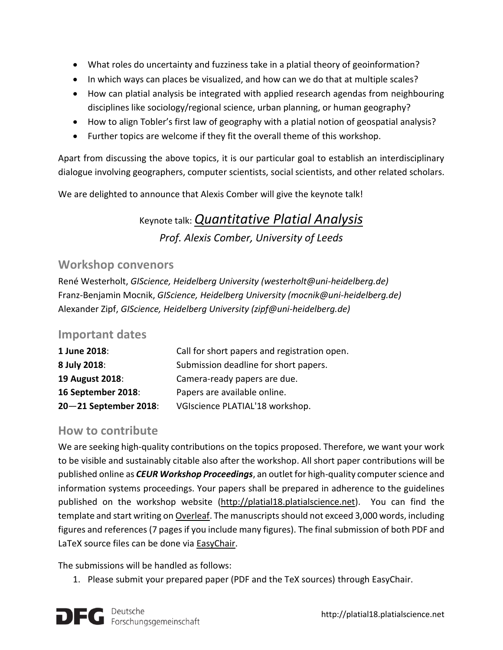- What roles do uncertainty and fuzziness take in a platial theory of geoinformation?
- In which ways can places be visualized, and how can we do that at multiple scales?
- How can platial analysis be integrated with applied research agendas from neighbouring disciplines like sociology/regional science, urban planning, or human geography?
- How to align Tobler's first law of geography with a platial notion of geospatial analysis?
- Further topics are welcome if they fit the overall theme of this workshop.

Apart from discussing the above topics, it is our particular goal to establish an interdisciplinary dialogue involving geographers, computer scientists, social scientists, and other related scholars.

We are delighted to announce that Alexis Comber will give the keynote talk!

### Keynote talk: *[Quantitative Platial Analysis](http://platial18.platialscience.net/wp-content/uploads/2018/05/abstract_comber.pdf) Prof. Alexis Comber, University of Leeds*

#### **Workshop convenors**

René Westerholt, *GIScience, Heidelberg University (westerholt@uni-heidelberg.de)* Franz-Benjamin Mocnik, *GIScience, Heidelberg University (mocnik@uni-heidelberg.de)* Alexander Zipf, *GIScience, Heidelberg University (zipf@uni-heidelberg.de)*

#### **Important dates**

| 1 June 2018:          | Call for short papers and registration open. |
|-----------------------|----------------------------------------------|
| 8 July 2018:          | Submission deadline for short papers.        |
| 19 August 2018:       | Camera-ready papers are due.                 |
| 16 September 2018:    | Papers are available online.                 |
| 20-21 September 2018: | VGIscience PLATIAL'18 workshop.              |
|                       |                                              |

#### **How to contribute**

We are seeking high-quality contributions on the topics proposed. Therefore, we want your work to be visible and sustainably citable also after the workshop. All short paper contributions will be published online as *CEUR Workshop Proceedings*, an outlet for high-quality computer science and information systems proceedings. Your papers shall be prepared in adherence to the guidelines published on the workshop website [\(http://platial18.platialscience.net\)](http://platial18.platialscience.net/). You can find the template and start writing o[n Overleaf.](https://goo.gl/A7J7FF) The manuscripts should not exceed 3,000 words, including figures and references (7 pages if you include many figures). The final submission of both PDF and LaTeX source files can be done via [EasyChair.](https://easychair.org/conferences/?conf=platial18)

The submissions will be handled as follows:

1. Please submit your prepared paper (PDF and the TeX sources) through EasyChair.